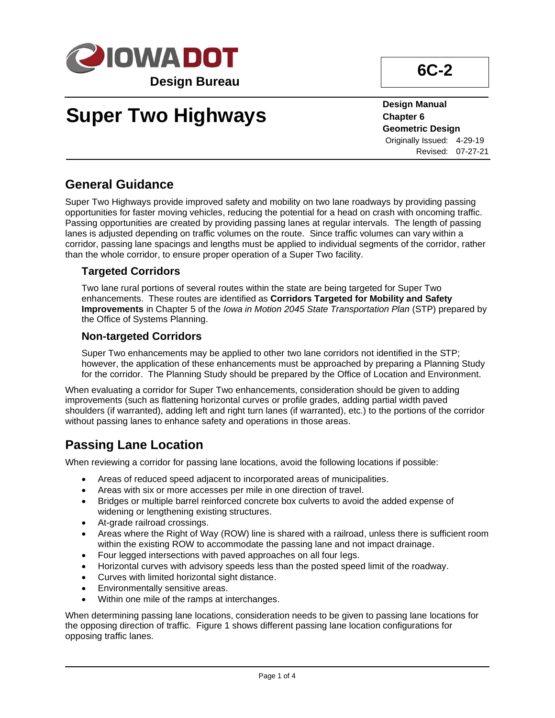

# **Super Two Highways**

**Design Manual Chapter 6 Geometric Design** Originally Issued: 4-29-19 Revised: 07-27-21

**6C-2**

## **General Guidance**

Super Two Highways provide improved safety and mobility on two lane roadways by providing passing opportunities for faster moving vehicles, reducing the potential for a head on crash with oncoming traffic. Passing opportunities are created by providing passing lanes at regular intervals. The length of passing lanes is adjusted depending on traffic volumes on the route. Since traffic volumes can vary within a corridor, passing lane spacings and lengths must be applied to individual segments of the corridor, rather than the whole corridor, to ensure proper operation of a Super Two facility.

### **Targeted Corridors**

Two lane rural portions of several routes within the state are being targeted for Super Two enhancements. These routes are identified as **Corridors Targeted for Mobility and Safety Improvements** in Chapter 5 of the *Iowa in Motion 2045 State Transportation Plan* (STP) prepared by the Office of Systems Planning.

### **Non-targeted Corridors**

Super Two enhancements may be applied to other two lane corridors not identified in the STP; however, the application of these enhancements must be approached by preparing a Planning Study for the corridor. The Planning Study should be prepared by the Office of Location and Environment.

When evaluating a corridor for Super Two enhancements, consideration should be given to adding improvements (such as flattening horizontal curves or profile grades, adding partial width paved shoulders (if warranted), adding left and right turn lanes (if warranted), etc.) to the portions of the corridor without passing lanes to enhance safety and operations in those areas.

## **Passing Lane Location**

When reviewing a corridor for passing lane locations, avoid the following locations if possible:

- Areas of reduced speed adjacent to incorporated areas of municipalities.
- Areas with six or more accesses per mile in one direction of travel.
- Bridges or multiple barrel reinforced concrete box culverts to avoid the added expense of widening or lengthening existing structures.
- At-grade railroad crossings.
- Areas where the Right of Way (ROW) line is shared with a railroad, unless there is sufficient room within the existing ROW to accommodate the passing lane and not impact drainage.
- Four legged intersections with paved approaches on all four legs.
- Horizontal curves with advisory speeds less than the posted speed limit of the roadway.
- Curves with limited horizontal sight distance.
- Environmentally sensitive areas.
- Within one mile of the ramps at interchanges.

When determining passing lane locations, consideration needs to be given to passing lane locations for the opposing direction of traffic. Figure 1 shows different passing lane location configurations for opposing traffic lanes.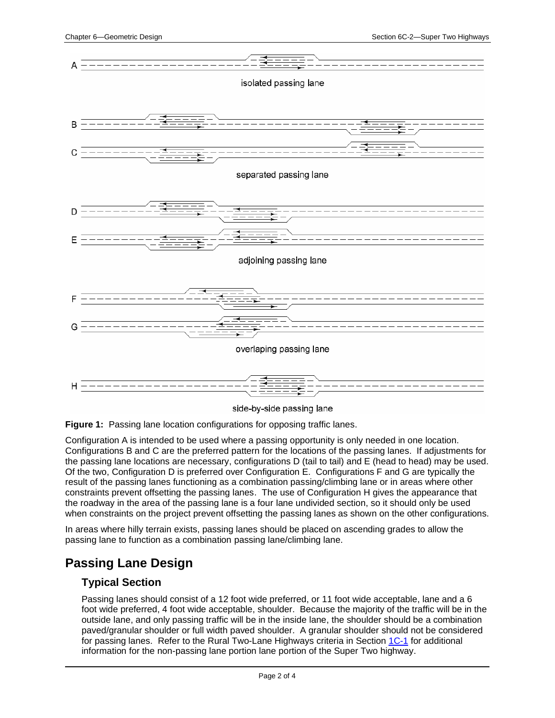

side-by-side passing lane

**Figure 1:** Passing lane location configurations for opposing traffic lanes.

Configuration A is intended to be used where a passing opportunity is only needed in one location. Configurations B and C are the preferred pattern for the locations of the passing lanes. If adjustments for the passing lane locations are necessary, configurations D (tail to tail) and E (head to head) may be used. Of the two, Configuration D is preferred over Configuration E. Configurations F and G are typically the result of the passing lanes functioning as a combination passing/climbing lane or in areas where other constraints prevent offsetting the passing lanes. The use of Configuration H gives the appearance that the roadway in the area of the passing lane is a four lane undivided section, so it should only be used when constraints on the project prevent offsetting the passing lanes as shown on the other configurations.

In areas where hilly terrain exists, passing lanes should be placed on ascending grades to allow the passing lane to function as a combination passing lane/climbing lane.

## **Passing Lane Design**

#### **Typical Section**

Passing lanes should consist of a 12 foot wide preferred, or 11 foot wide acceptable, lane and a 6 foot wide preferred, 4 foot wide acceptable, shoulder. Because the majority of the traffic will be in the outside lane, and only passing traffic will be in the inside lane, the shoulder should be a combination paved/granular shoulder or full width paved shoulder. A granular shoulder should not be considered for passing lanes. Refer to the Rural Two-Lane Highways criteria in Section [1C-1](01c-01.pdf) for additional information for the non-passing lane portion lane portion of the Super Two highway.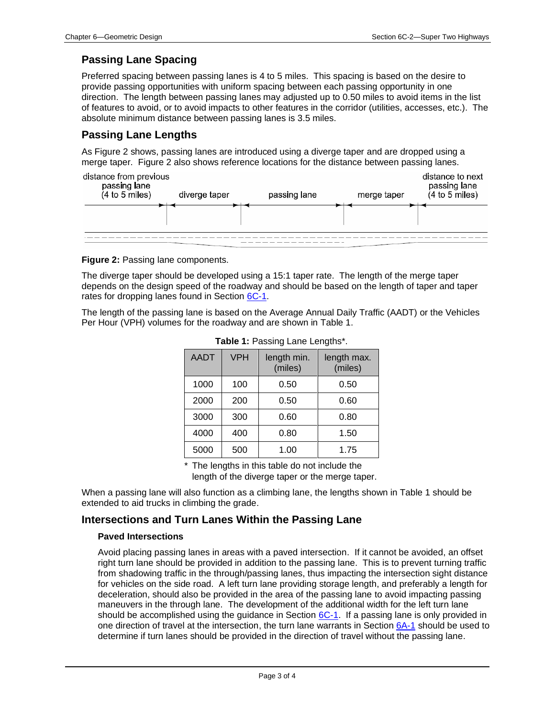## **Passing Lane Spacing**

Preferred spacing between passing lanes is 4 to 5 miles. This spacing is based on the desire to provide passing opportunities with uniform spacing between each passing opportunity in one direction. The length between passing lanes may adjusted up to 0.50 miles to avoid items in the list of features to avoid, or to avoid impacts to other features in the corridor (utilities, accesses, etc.). The absolute minimum distance between passing lanes is 3.5 miles.

## **Passing Lane Lengths**

As Figure 2 shows, passing lanes are introduced using a diverge taper and are dropped using a merge taper. Figure 2 also shows reference locations for the distance between passing lanes.



**Figure 2:** Passing lane components.

The diverge taper should be developed using a 15:1 taper rate. The length of the merge taper depends on the design speed of the roadway and should be based on the length of taper and taper rates for dropping lanes found in Section [6C-1.](06c-01.pdf)

The length of the passing lane is based on the Average Annual Daily Traffic (AADT) or the Vehicles Per Hour (VPH) volumes for the roadway and are shown in Table 1.

| <b>AADT</b> | <b>VPH</b> | length min.<br>(miles) | length max.<br>(miles) |
|-------------|------------|------------------------|------------------------|
| 1000        | 100        | 0.50                   | 0.50                   |
| 2000        | 200        | 0.50                   | 0.60                   |
| 3000        | 300        | 0.60                   | 0.80                   |
| 4000        | 400        | 0.80                   | 1.50                   |
| 5000        | 500        | 1.00                   | 1.75                   |

| Table 1: Passing Lane Lengths*. |  |
|---------------------------------|--|

\* The lengths in this table do not include the length of the diverge taper or the merge taper.

When a passing lane will also function as a climbing lane, the lengths shown in Table 1 should be extended to aid trucks in climbing the grade.

### **Intersections and Turn Lanes Within the Passing Lane**

#### **Paved Intersections**

Avoid placing passing lanes in areas with a paved intersection. If it cannot be avoided, an offset right turn lane should be provided in addition to the passing lane. This is to prevent turning traffic from shadowing traffic in the through/passing lanes, thus impacting the intersection sight distance for vehicles on the side road. A left turn lane providing storage length, and preferably a length for deceleration, should also be provided in the area of the passing lane to avoid impacting passing maneuvers in the through lane. The development of the additional width for the left turn lane should be accomplished using the guidance in Section  $6C-1$ . If a passing lane is only provided in one direction of travel at the intersection, the turn lane warrants in Section [6A-1](06a-01.pdf) should be used to determine if turn lanes should be provided in the direction of travel without the passing lane.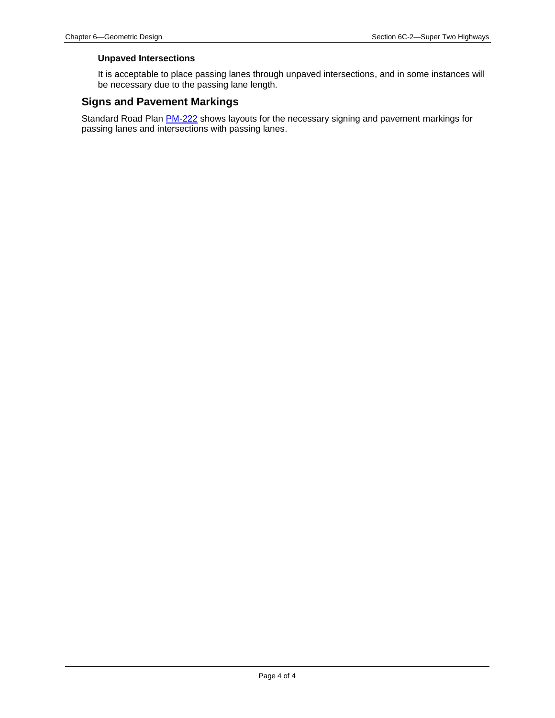#### **Unpaved Intersections**

It is acceptable to place passing lanes through unpaved intersections, and in some instances will be necessary due to the passing lane length.

#### **Signs and Pavement Markings**

Standard Road Plan **PM-222** shows layouts for the necessary signing and pavement markings for passing lanes and intersections with passing lanes.